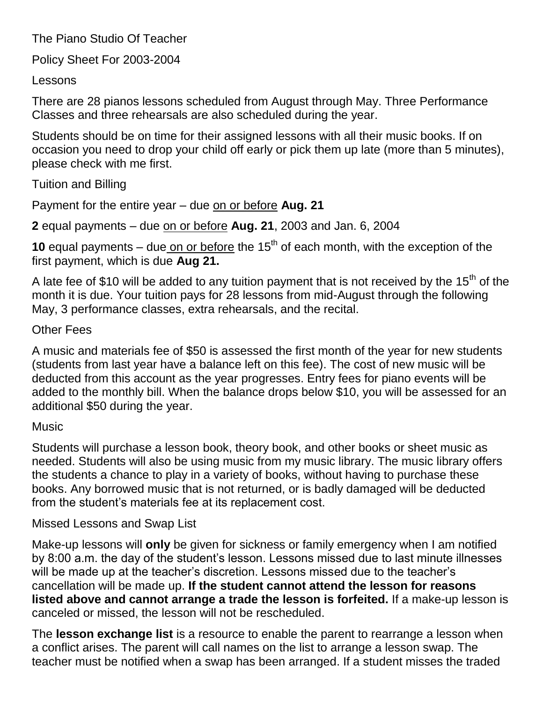The Piano Studio Of Teacher

Policy Sheet For 2003-2004

Lessons

There are 28 pianos lessons scheduled from August through May. Three Performance Classes and three rehearsals are also scheduled during the year.

Students should be on time for their assigned lessons with all their music books. If on occasion you need to drop your child off early or pick them up late (more than 5 minutes), please check with me first.

Tuition and Billing

Payment for the entire year – due on or before **Aug. 21**

**2** equal payments – due on or before **Aug. 21**, 2003 and Jan. 6, 2004

**10** equal payments – due on or before the 15<sup>th</sup> of each month, with the exception of the first payment, which is due **Aug 21.** 

A late fee of \$10 will be added to any tuition payment that is not received by the  $15<sup>th</sup>$  of the month it is due. Your tuition pays for 28 lessons from mid-August through the following May, 3 performance classes, extra rehearsals, and the recital.

# Other Fees

A music and materials fee of \$50 is assessed the first month of the year for new students (students from last year have a balance left on this fee). The cost of new music will be deducted from this account as the year progresses. Entry fees for piano events will be added to the monthly bill. When the balance drops below \$10, you will be assessed for an additional \$50 during the year.

Music

Students will purchase a lesson book, theory book, and other books or sheet music as needed. Students will also be using music from my music library. The music library offers the students a chance to play in a variety of books, without having to purchase these books. Any borrowed music that is not returned, or is badly damaged will be deducted from the student's materials fee at its replacement cost.

## Missed Lessons and Swap List

Make-up lessons will **only** be given for sickness or family emergency when I am notified by 8:00 a.m. the day of the student's lesson. Lessons missed due to last minute illnesses will be made up at the teacher's discretion. Lessons missed due to the teacher's cancellation will be made up. **If the student cannot attend the lesson for reasons listed above and cannot arrange a trade the lesson is forfeited.** If a make-up lesson is canceled or missed, the lesson will not be rescheduled.

The **lesson exchange list** is a resource to enable the parent to rearrange a lesson when a conflict arises. The parent will call names on the list to arrange a lesson swap. The teacher must be notified when a swap has been arranged. If a student misses the traded